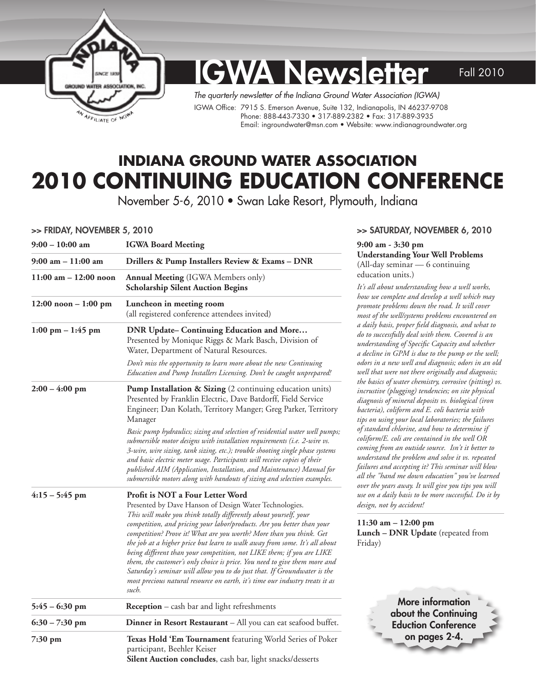

# **IGWA Newsletter** Fall 2010

*The quarterly newsletter of the Indiana Ground Water Association (IGWA)*  IGWA Office: 7915 S. Emerson Avenue, Suite 132, Indianapolis, IN 46237-9708 Phone: 888-443-7330 • 317-889-2382 • Fax: 317-889-3935 Email: [ingroundwater@msn.com](mailto:ingroundwater@msn.com) • Website: [www.indianagroundwater.org](http://www.indianagroundwater.org) 

# **Indiana Ground Water Association 2010 Continuing Education Conference**

November 5-6, 2010 • Swan Lake Resort, Plymouth, Indiana

#### >> Friday, November 5, 2010

| 9:00 – 10:00 am                     | <b>IGWA Board Meeting</b>                                                                                                                                                                                                                                                                                                                                                                                                                                                                                                                                                                                                                                                                                                 |
|-------------------------------------|---------------------------------------------------------------------------------------------------------------------------------------------------------------------------------------------------------------------------------------------------------------------------------------------------------------------------------------------------------------------------------------------------------------------------------------------------------------------------------------------------------------------------------------------------------------------------------------------------------------------------------------------------------------------------------------------------------------------------|
| 9:00 am – 11:00 am                  | Drillers & Pump Installers Review & Exams - DNR                                                                                                                                                                                                                                                                                                                                                                                                                                                                                                                                                                                                                                                                           |
| $11:00$ am $- 12:00$ noon           | <b>Annual Meeting</b> (IGWA Members only)<br><b>Scholarship Silent Auction Begins</b>                                                                                                                                                                                                                                                                                                                                                                                                                                                                                                                                                                                                                                     |
| $12:00$ noon $-1:00$ pm             | Luncheon in meeting room<br>(all registered conference attendees invited)                                                                                                                                                                                                                                                                                                                                                                                                                                                                                                                                                                                                                                                 |
| $1:00 \text{ pm} - 1:45 \text{ pm}$ | <b>DNR Update- Continuing Education and More</b><br>Presented by Monique Riggs & Mark Basch, Division of<br>Water, Department of Natural Resources.                                                                                                                                                                                                                                                                                                                                                                                                                                                                                                                                                                       |
|                                     | Don't miss the opportunity to learn more about the new Continuing<br>Education and Pump Installers Licensing. Don't be caught unprepared!                                                                                                                                                                                                                                                                                                                                                                                                                                                                                                                                                                                 |
| $2:00 - 4:00$ pm                    | <b>Pump Installation &amp; Sizing</b> (2 continuing education units)<br>Presented by Franklin Electric, Dave Batdorff, Field Service<br>Engineer; Dan Kolath, Territory Manger; Greg Parker, Territory<br>Manager                                                                                                                                                                                                                                                                                                                                                                                                                                                                                                         |
|                                     | Basic pump hydraulics; sizing and selection of residential water well pumps;<br>submersible motor designs with installation requirements (i.e. 2-wire vs.<br>3-wire, wire sizing, tank sizing, etc.); trouble shooting single phase systems<br>and basic electric meter usage. Participants will receive copies of their<br>published AIM (Application, Installation, and Maintenance) Manual for<br>submersible motors along with handouts of sizing and selection examples.                                                                                                                                                                                                                                             |
| $4:15 - 5:45$ pm                    | Profit is NOT a Four Letter Word<br>Presented by Dave Hanson of Design Water Technologies.<br>This will make you think totally differently about yourself, your<br>competition, and pricing your labor/products. Are you better than your<br>competition? Prove it! What are you worth? More than you think. Get<br>the job at a higher price but learn to walk away from some. It's all about<br>being different than your competition, not LIKE them; if you are LIKE<br>them, the customer's only choice is price. You need to give them more and<br>Saturday's seminar will allow you to do just that. If Groundwater is the<br>most precious natural resource on earth, it's time our industry treats it as<br>such. |
| $5:45 - 6:30$ pm                    | <b>Reception</b> – cash bar and light refreshments                                                                                                                                                                                                                                                                                                                                                                                                                                                                                                                                                                                                                                                                        |
| $6:30 - 7:30$ pm                    | Dinner in Resort Restaurant - All you can eat seafood buffet.                                                                                                                                                                                                                                                                                                                                                                                                                                                                                                                                                                                                                                                             |
| 7:30 pm                             | <b>Texas Hold 'Em Tournament</b> featuring World Series of Poker<br>participant, Beehler Keiser<br>Silent Auction concludes, cash bar, light snacks/desserts                                                                                                                                                                                                                                                                                                                                                                                                                                                                                                                                                              |

#### >> Saturday, November 6, 2010

#### **9:00 am - 3:30 pm Understanding Your Well Problems**  (All-day seminar — 6 continuing education units.)

*It's all about understanding how a well works, how we complete and develop a well which may promote problems down the road. It will cover most of the well/systems problems encountered on a daily basis, proper field diagnosis, and what to do to successfully deal with them. Covered is an understanding of Specific Capacity and whether a decline in GPM is due to the pump or the well; odors in a new well and diagnosis; odors in an old well that were not there originally and diagnosis; the basics of water chemistry, corrosive (pitting) vs. incrustive (plugging) tendencies; on site physical diagnosis of mineral deposits vs. biological (iron bacteria), coliform and E. coli bacteria with tips on using your local laboratories; the failures of standard chlorine, and how to determine if coliform/E. coli are contained in the well OR coming from an outside source. Isn't it better to understand the problem and solve it vs. repeated failures and accepting it? This seminar will blow all the "hand me down education" you've learned over the years away. It will give you tips you will use on a daily basis to be more successful. Do it by design, not by accident!* 

**11:30 am – 12:00 pm Lunch – DNR Update** (repeated from Friday)

> More information about the Continuing Eduction Conference on pages 2-4.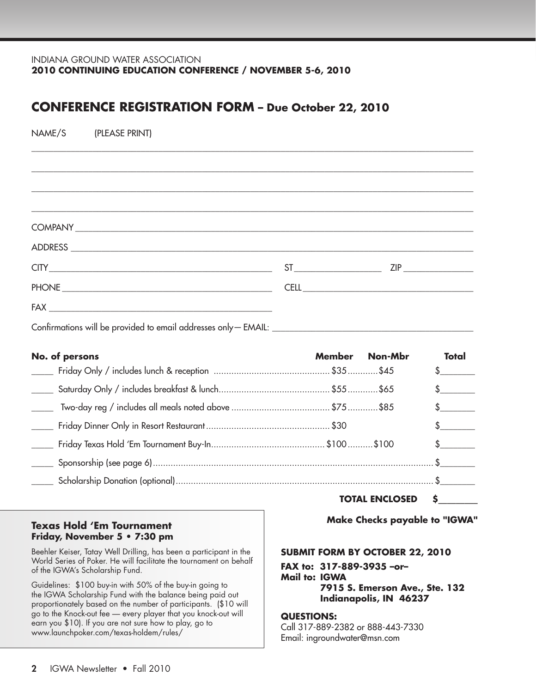#### INDIANA GROUND WATER ASSOCIATION **2010 Continuing Education Conference / November 5-6, 2010**

### **Conference REGISTRATION FORM – Due October 22, 2010**

| NAME/S<br>(PLEASE PRINT) |               |              |               |
|--------------------------|---------------|--------------|---------------|
|                          |               |              |               |
|                          |               |              |               |
|                          |               |              |               |
|                          |               |              |               |
|                          |               |              |               |
|                          |               | $ST$ 2IP 2IP |               |
|                          |               |              |               |
|                          |               |              |               |
|                          |               |              |               |
| No. of persons           | <b>Member</b> | Non-Mbr      | Total         |
|                          |               |              | \$            |
|                          |               |              | $\sim$        |
|                          |               |              | $\sim$        |
|                          |               |              | $\sim$        |
|                          |               |              | $\frac{1}{2}$ |
| $\frac{1}{2}$            |               |              |               |
|                          |               |              |               |

# **Friday, November 5 • 7:30 pm**

Beehler Keiser, Tatay Well Drilling, has been a participant in the World Series of Poker. He will facilitate the tournament on behalf of the IGWA's Scholarship Fund.

Guidelines: \$100 buy-in with 50% of the buy-in going to the IGWA Scholarship Fund with the balance being paid out proportionately based on the number of participants. (\$10 will go to the Knock-out fee — every player that you knock-out will earn you \$10). If you are not sure how to play, go to [www.launchpoker.com/texas-holdem/rules/](http://www.launchpoker.com/texas-holdem/rules/) 

**Total Enclosed \$\_\_\_\_\_\_\_\_\_**

 **Make Checks payable to "IGWA" Texas Hold 'Em Tournament**

#### **Submit form by October 22, 2010**

**FAX to: 317-889-3935 –or– Mail to: IGWA 7915 S. Emerson Ave., Ste. 132 Indianapolis, IN 46237**

#### **Questions:**

Call 317-889-2382 or 888-443-7330 Email: [ingroundwater@msn.com](mailto:ingroundwater%40msn.com?subject=)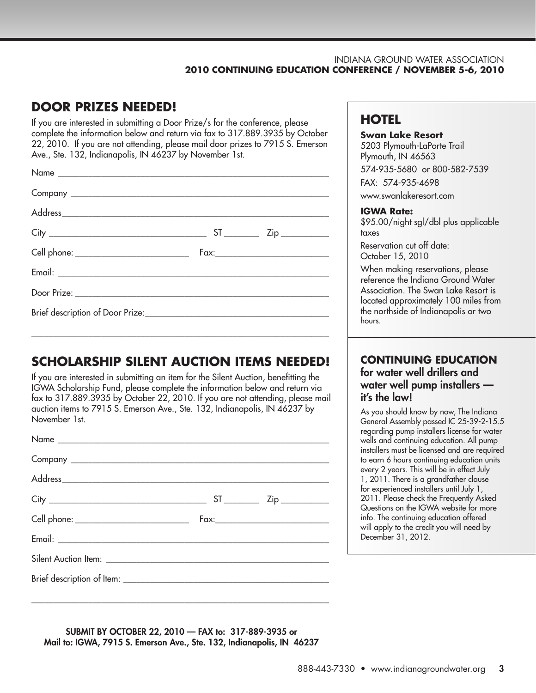#### INDIANA GROUND WATER ASSOCIATION **2010 Continuing Education Conference / November 5-6, 2010**

## **DOOR PRIZES NEEDED!**

If you are interested in submitting a Door Prize/s for the conference, please complete the information below and return via fax to 317.889.3935 by October 22, 2010. If you are not attending, please mail door prizes to 7915 S. Emerson Ave., Ste. 132, Indianapolis, IN 46237 by November 1st.

# **SCHOLARSHIP SILENT AUCTION ITEMS NEEDED!**

\_\_\_\_\_\_\_\_\_\_\_\_\_\_\_\_\_\_\_\_\_\_\_\_\_\_\_\_\_\_\_\_\_\_\_\_\_\_\_\_\_\_\_\_\_\_\_\_\_\_\_\_\_\_\_\_\_\_\_\_\_\_\_\_\_\_\_\_

If you are interested in submitting an item for the Silent Auction, benefitting the IGWA Scholarship Fund, please complete the information below and return via fax to 317.889.3935 by October 22, 2010. If you are not attending, please mail auction items to 7915 S. Emerson Ave., Ste. 132, Indianapolis, IN 46237 by November 1st.

| Cell phone: ___________________________ |  |
|-----------------------------------------|--|
|                                         |  |
|                                         |  |
|                                         |  |
|                                         |  |

# **HOTEL**

#### **Swan Lake Resort**

5203 Plymouth-LaPorte Trail Plymouth, IN 46563 574-935-5680 or 800-582-7539 Fax: 574-935-4698 [www.swanlakeresort.com](http://www.swanlakeresort.com)

#### **IGWA Rate:**

\$95.00/night sgl/dbl plus applicable taxes

Reservation cut off date: October 15, 2010

When making reservations, please reference the Indiana Ground Water Association. The Swan Lake Resort is located approximately 100 miles from the northside of Indianapolis or two hours.

### **Continuing Education** for water well drillers and water well pump installers it's the law!

As you should know by now, The Indiana General Assembly passed IC 25-39-2-15.5 regarding pump installers license for water wells and continuing education. All pump installers must be licensed and are required to earn 6 hours continuing education units every 2 years. This will be in effect July 1, 2011. There is a grandfather clause for experienced installers until July 1, 2011. Please check the Frequently Asked Questions on the IGWA website for more info. The continuing education offered will apply to the credit you will need by December 31, 2012.

Submit by October 22, 2010 — FAX to: 317-889-3935 or Mail to: IGWA, 7915 S. Emerson Ave., Ste. 132, Indianapolis, IN 46237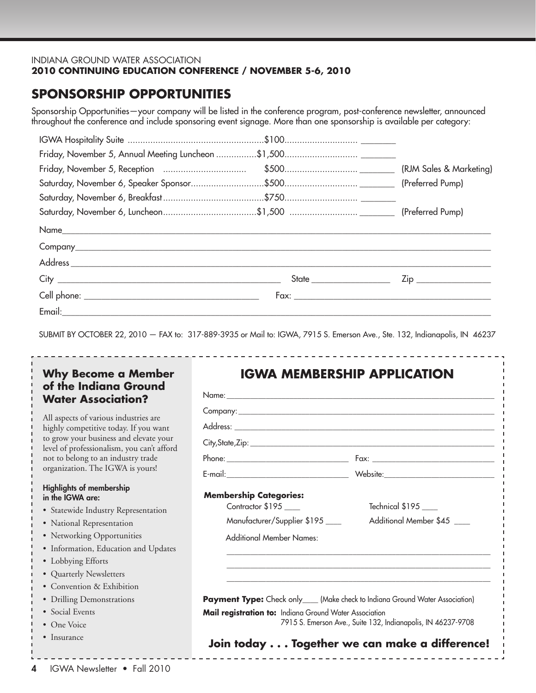#### INDIANA GROUND WATER ASSOCIATION **2010 Continuing Education Conference / November 5-6, 2010**

# **SPONSORSHIP OPPORTUNITIES**

Sponsorship Opportunities—your company will be listed in the conference program, post-conference newsletter, announced throughout the conference and include sponsoring event signage. More than one sponsorship is available per category:

|  | Zip __________________ |
|--|------------------------|
|  |                        |
|  |                        |

Submit by October 22, 2010 — FAX to: 317-889-3935 or Mail to: IGWA, 7915 S. Emerson Ave., Ste. 132, Indianapolis, IN 46237

### **Why Become a Member of the Indiana Ground Water Association?**

All aspects of various industries are highly competitive today. If you want to grow your business and elevate your level of professionalism, you can't afford not to belong to an industry trade organization. The IGWA is yours!

#### Highlights of membership in the IGWA are:

- Statewide Industry Representation
- National Representation
- Networking Opportunities
- Information, Education and Updates
- Lobbying Efforts
- Quarterly Newsletters
- Convention & Exhibition
- Drilling Demonstrations
- Social Events
- One Voice
- Insurance

## **IGWA Membership Application**

| <b>Membership Categories:</b><br>Contractor \$195<br>Manufacturer/Supplier \$195<br>Additional Member Names:                                  | Technical \$195 ____<br>Additional Member \$45                                                                |
|-----------------------------------------------------------------------------------------------------------------------------------------------|---------------------------------------------------------------------------------------------------------------|
| <b>Payment Type:</b> Check only____(Make check to Indiana Ground Water Association)<br>Mail registration to: Indiana Ground Water Association | 7915 S. Emerson Ave., Suite 132, Indianapolis, IN 46237-9708<br>Join today Together we can make a difference! |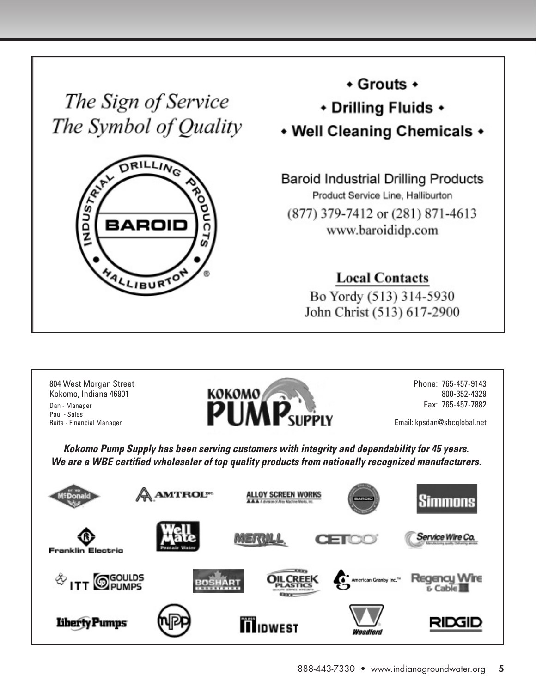The Sign of Service The Symbol of Quality



+ Grouts +

\* Drilling Fluids \*

• Well Cleaning Chemicals •

**Baroid Industrial Drilling Products** Product Service Line, Halliburton (877) 379-7412 or (281) 871-4613 www.baroididp.com

**Local Contacts** 

Bo Yordy (513) 314-5930 John Christ (513) 617-2900



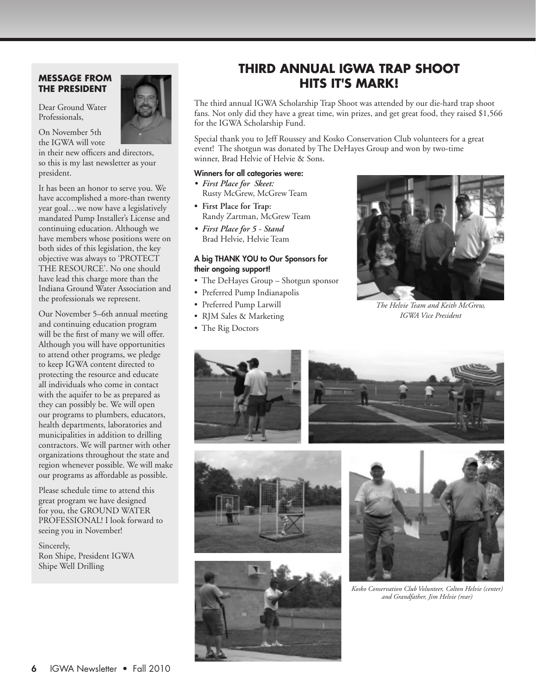#### **Message from the President**

Dear Ground Water Professionals,



in their new officers and directors, so this is my last newsletter as your president.

It has been an honor to serve you. We have accomplished a more-than twenty year goal…we now have a legislatively mandated Pump Installer's License and continuing education. Although we have members whose positions were on both sides of this legislation, the key objective was always to 'PROTECT THE RESOURCE'. No one should have lead this charge more than the Indiana Ground Water Association and the professionals we represent.

Our November 5–6th annual meeting and continuing education program will be the first of many we will offer. Although you will have opportunities to attend other programs, we pledge to keep IGWA content directed to protecting the resource and educate all individuals who come in contact with the aquifer to be as prepared as they can possibly be. We will open our programs to plumbers, educators, health departments, laboratories and municipalities in addition to drilling contractors. We will partner with other organizations throughout the state and region whenever possible. We will make our programs as affordable as possible.

Please schedule time to attend this great program we have designed for you, the GROUND WATER PROFESSIONAL! I look forward to seeing you in November!

Sincerely, Ron Shipe, President IGWA Shipe Well Drilling



## **Third Annual IGWA Trap Shoot Hits It's Mark!**

The third annual IGWA Scholarship Trap Shoot was attended by our die-hard trap shoot fans. Not only did they have a great time, win prizes, and get great food, they raised \$1,566 for the IGWA Scholarship Fund.

Special thank you to Jeff Roussey and Kosko Conservation Club volunteers for a great event! The shotgun was donated by The DeHayes Group and won by two-time winner, Brad Helvie of Helvie & Sons.

#### Winners for all categories were:

- *• First Place for Skeet:* Rusty McGrew, McGrew Team
- **• First Place for Trap:** Randy Zartman, McGrew Team
- *• First Place for 5 - Stand* Brad Helvie, Helvie Team

#### A big Thank You to Our Sponsors for their ongoing support!

- The DeHayes Group Shotgun sponsor
- Preferred Pump Indianapolis
- Preferred Pump Larwill
- RJM Sales & Marketing
- The Rig Doctors



*The Helvie Team and Keith McGrew, IGWA Vice President*











*Kosko Conservation Club Volunteer, Colton Helvie (center) and Grandfather, Jim Helvie (rear)*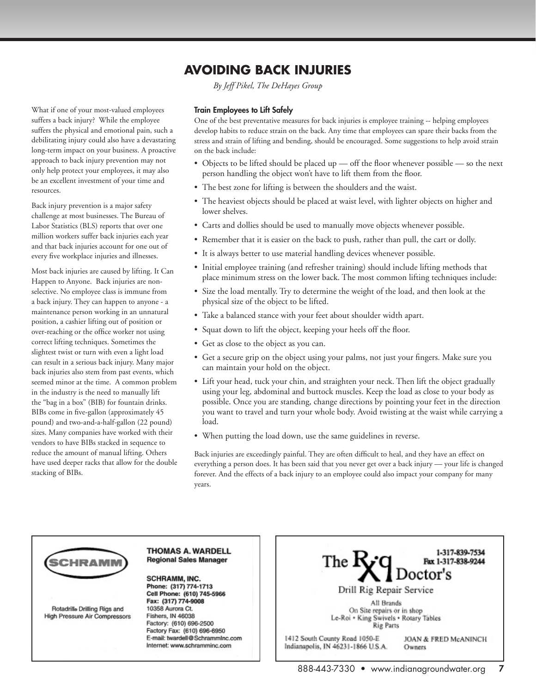## **Avoiding Back Injuries**

*By Jeff Pikel, The DeHayes Group*

#### What if one of your most-valued employees suffers a back injury? While the employee suffers the physical and emotional pain, such a debilitating injury could also have a devastating long-term impact on your business. A proactive approach to back injury prevention may not only help protect your employees, it may also be an excellent investment of your time and resources.

Back injury prevention is a major safety challenge at most businesses. The Bureau of Labor Statistics (BLS) reports that over one million workers suffer back injuries each year and that back injuries account for one out of every five workplace injuries and illnesses.

Most back injuries are caused by lifting. It Can Happen to Anyone. Back injuries are nonselective. No employee class is immune from a back injury. They can happen to anyone - a maintenance person working in an unnatural position, a cashier lifting out of position or over-reaching or the office worker not using correct lifting techniques. Sometimes the slightest twist or turn with even a light load can result in a serious back injury. Many major back injuries also stem from past events, which seemed minor at the time. A common problem in the industry is the need to manually lift the "bag in a box" (BIB) for fountain drinks. BIBs come in five-gallon (approximately 45 pound) and two-and-a-half-gallon (22 pound) sizes. Many companies have worked with their vendors to have BIBs stacked in sequence to reduce the amount of manual lifting. Others have used deeper racks that allow for the double stacking of BIBs.

#### Train Employees to Lift Safely

One of the best preventative measures for back injuries is employee training -- helping employees develop habits to reduce strain on the back. Any time that employees can spare their backs from the stress and strain of lifting and bending, should be encouraged. Some suggestions to help avoid strain on the back include:

- Objects to be lifted should be placed up off the floor whenever possible so the next person handling the object won't have to lift them from the floor.
- The best zone for lifting is between the shoulders and the waist.
- The heaviest objects should be placed at waist level, with lighter objects on higher and lower shelves.
- Carts and dollies should be used to manually move objects whenever possible.
- Remember that it is easier on the back to push, rather than pull, the cart or dolly.
- It is always better to use material handling devices whenever possible.
- Initial employee training (and refresher training) should include lifting methods that place minimum stress on the lower back. The most common lifting techniques include:
- Size the load mentally. Try to determine the weight of the load, and then look at the physical size of the object to be lifted.
- Take a balanced stance with your feet about shoulder width apart.
- Squat down to lift the object, keeping your heels off the floor.
- Get as close to the object as you can.
- Get a secure grip on the object using your palms, not just your fingers. Make sure you can maintain your hold on the object.
- Lift your head, tuck your chin, and straighten your neck. Then lift the object gradually using your leg, abdominal and buttock muscles. Keep the load as close to your body as possible. Once you are standing, change directions by pointing your feet in the direction you want to travel and turn your whole body. Avoid twisting at the waist while carrying a load.
- When putting the load down, use the same guidelines in reverse.

Back injuries are exceedingly painful. They are often difficult to heal, and they have an effect on everything a person does. It has been said that you never get over a back injury — your life is changed forever. And the effects of a back injury to an employee could also impact your company for many years.



Rotadrille Drilling Rigs and **High Pressure Air Compressors** 

#### **THOMAS A. WARDELL Regional Sales Manager**

**SCHRAMM, INC.** Phone: (317) 774-1713 Cell Phone: (610) 745-5966 Fax: (317) 774-9008 10358 Aurora Ct. Fishers, IN 46038 Factory: (610) 696-2500 Factory Fax: (610) 696-6950 E-mail: twardell@SchrammInc.com Internet: www.schramminc.com

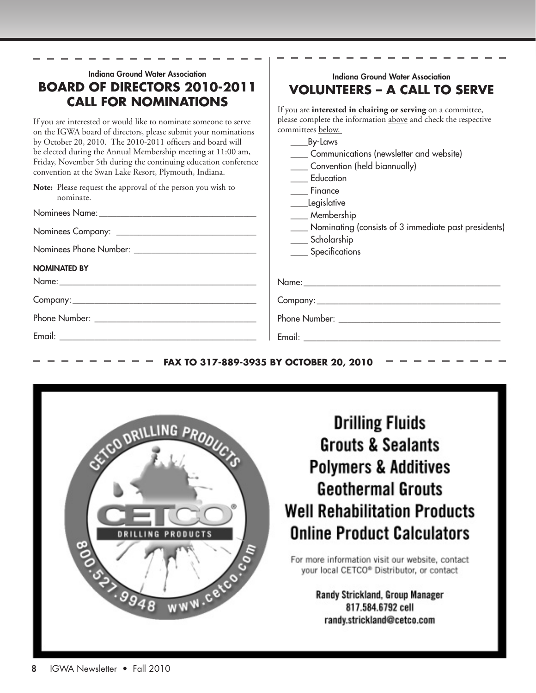| Indiana Ground Water Association                                 | Indiana Ground Water Association                               |
|------------------------------------------------------------------|----------------------------------------------------------------|
| <b>BOARD OF DIRECTORS 2010-2011</b>                              | <b>VOLUNTEERS - A CALL TO SERVE</b>                            |
| <b>CALL FOR NOMINATIONS</b>                                      | If you are interested in chairing or serving on a committee,   |
| If you are interested or would like to nominate someone to serve | please complete the information above and check the respective |
| on the IGWA board of directors, please submit your nominations   | committees below.                                              |
| by October 20, 2010. The 2010-2011 officers and board will       |                                                                |
| be elected during the Annual Membership meeting at 11:00 am,     | Communications (newsletter and website)                        |
| Friday, November 5th during the continuing education conference  | ____ Convention (held biannually)                              |
| convention at the Swan Lake Resort, Plymouth, Indiana.           | Education                                                      |
| Note: Please request the approval of the person you wish to      | Finance                                                        |
| nominate.                                                        | ____Legislative                                                |
|                                                                  | Membership                                                     |
|                                                                  | ____ Nominating (consists of 3 immediate past presidents)      |
|                                                                  | ____ Scholarship                                               |
| <b>NOMINATED BY</b>                                              | ____ Specifications                                            |
|                                                                  |                                                                |
|                                                                  |                                                                |
|                                                                  |                                                                |
|                                                                  |                                                                |

### **FAX TO 317-889-3935 BY OCTOBER 20, 2010**



# **Drilling Fluids Grouts & Sealants Polymers & Additives Geothermal Grouts Well Rehabilitation Products Online Product Calculators**

For more information visit our website, contact your local CETCO® Distributor, or contact

> Randy Strickland, Group Manager 817.584.6792 cell randy.strickland@cetco.com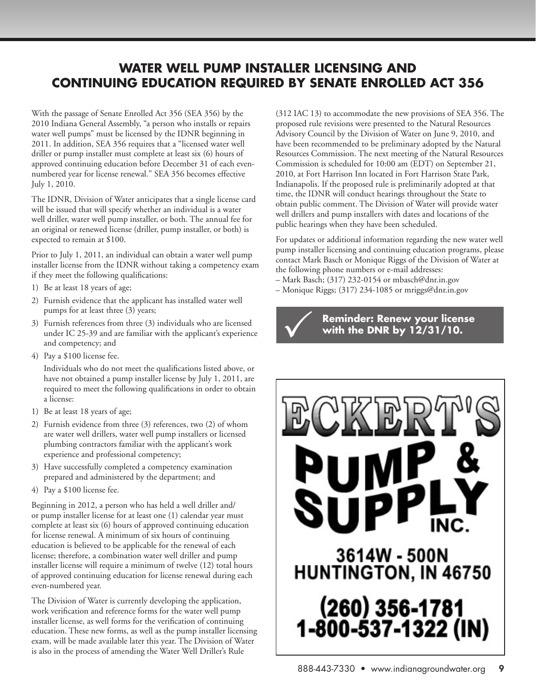## **Water Well Pump Installer Licensing and Continuing Education Required by Senate Enrolled Act 356**

With the passage of Senate Enrolled Act 356 (SEA 356) by the 2010 Indiana General Assembly, "a person who installs or repairs water well pumps" must be licensed by the IDNR beginning in 2011. In addition, SEA 356 requires that a "licensed water well driller or pump installer must complete at least six (6) hours of approved continuing education before December 31 of each evennumbered year for license renewal." SEA 356 becomes effective July 1, 2010.

The IDNR, Division of Water anticipates that a single license card will be issued that will specify whether an individual is a water well driller, water well pump installer, or both. The annual fee for an original or renewed license (driller, pump installer, or both) is expected to remain at \$100.

Prior to July 1, 2011, an individual can obtain a water well pump installer license from the IDNR without taking a competency exam if they meet the following qualifications:

- 1) Be at least 18 years of age;
- 2) Furnish evidence that the applicant has installed water well pumps for at least three (3) years;
- 3) Furnish references from three (3) individuals who are licensed under IC 25-39 and are familiar with the applicant's experience and competency; and
- 4) Pay a \$100 license fee.

Individuals who do not meet the qualifications listed above, or have not obtained a pump installer license by July 1, 2011, are required to meet the following qualifications in order to obtain a license:

- 1) Be at least 18 years of age;
- 2) Furnish evidence from three (3) references, two (2) of whom are water well drillers, water well pump installers or licensed plumbing contractors familiar with the applicant's work experience and professional competency;
- 3) Have successfully completed a competency examination prepared and administered by the department; and
- 4) Pay a \$100 license fee.

Beginning in 2012, a person who has held a well driller and/ or pump installer license for at least one (1) calendar year must complete at least six (6) hours of approved continuing education for license renewal. A minimum of six hours of continuing education is believed to be applicable for the renewal of each license; therefore, a combination water well driller and pump installer license will require a minimum of twelve (12) total hours of approved continuing education for license renewal during each even-numbered year.

The Division of Water is currently developing the application, work verification and reference forms for the water well pump installer license, as well forms for the verification of continuing education. These new forms, as well as the pump installer licensing exam, will be made available later this year. The Division of Water is also in the process of amending the Water Well Driller's Rule

(312 IAC 13) to accommodate the new provisions of SEA 356. The proposed rule revisions were presented to the Natural Resources Advisory Council by the Division of Water on June 9, 2010, and have been recommended to be preliminary adopted by the Natural Resources Commission. The next meeting of the Natural Resources Commission is scheduled for 10:00 am (EDT) on September 21, 2010, at Fort Harrison Inn located in Fort Harrison State Park, Indianapolis. If the proposed rule is preliminarily adopted at that time, the IDNR will conduct hearings throughout the State to obtain public comment. The Division of Water will provide water well drillers and pump installers with dates and locations of the public hearings when they have been scheduled.

For updates or additional information regarding the new water well pump installer licensing and continuing education programs, please contact Mark Basch or Monique Riggs of the Division of Water at the following phone numbers or e-mail addresses:

- Mark Basch; (317) 232-0154 or [mbasch@dnr.in.gov](mailto:mbasch%40dnr.in.gov?subject=)
- Monique Riggs; (317) 234-1085 or [mriggs@dnr.in.gov](mailto:mriggs%40dnr.in.gov?subject=)



**Reminder: Renew your license**<br>with the DNR by 12/31/10.

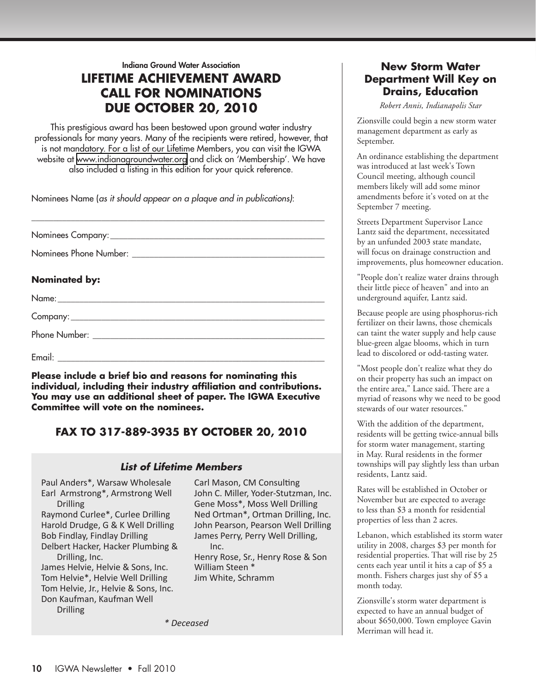Indiana Ground Water Association **Lifetime Achievement Award Call for Nominations Due October 20, 2010**

This prestigious award has been bestowed upon ground water industry professionals for many years. Many of the recipients were retired, however, that is not mandatory. For a list of our Lifetime Members, you can visit the IGWA website at [www.indianagroundwater.org](http://www.indianagroundwater.org) and click on 'Membership'. We have also included a listing in this edition for your quick reference.

\_\_\_\_\_\_\_\_\_\_\_\_\_\_\_\_\_\_\_\_\_\_\_\_\_\_\_\_\_\_\_\_\_\_\_\_\_\_\_\_\_\_\_\_\_\_\_\_\_\_\_\_\_\_\_\_\_\_\_\_\_\_\_\_\_\_\_

Nominees Name (*as it should appear on a plaque and in publications)*:

Nominees Company:

Nominees Phone Number:  $\blacksquare$ 

### **Nominated by:**

Name:\_\_\_\_\_\_\_\_\_\_\_\_\_\_\_\_\_\_\_\_\_\_\_\_\_\_\_\_\_\_\_\_\_\_\_\_\_\_\_\_\_\_\_\_\_\_\_\_\_\_\_\_\_\_\_\_\_\_\_\_\_

Company:\_\_\_\_\_\_\_\_\_\_\_\_\_\_\_\_\_\_\_\_\_\_\_\_\_\_\_\_\_\_\_\_\_\_\_\_\_\_\_\_\_\_\_\_\_\_\_\_\_\_\_\_\_\_\_\_\_\_

Phone Number: \_\_\_\_\_\_\_\_\_\_\_\_\_\_\_\_\_\_\_\_\_\_\_\_\_\_\_\_\_\_\_\_\_\_\_\_\_\_\_\_\_\_\_\_\_\_\_\_\_\_\_\_\_

Email: \_\_\_\_\_\_\_\_\_\_\_\_\_\_\_\_\_\_\_\_\_\_\_\_\_\_\_\_\_\_\_\_\_\_\_\_\_\_\_\_\_\_\_\_\_\_\_\_\_\_\_\_\_\_\_\_\_\_\_\_\_

**Please include a brief bio and reasons for nominating this individual, including their industry affiliation and contributions. You may use an additional sheet of paper. The IGWA Executive Committee will vote on the nominees.** 

### **FAX TO 317-889-3935 BY OCTOBER 20, 2010**

#### *List of Lifetime Members*

Paul Anders\*, Warsaw Wholesale Earl Armstrong\*, Armstrong Well Drilling

Raymond Curlee\*, Curlee Drilling Harold Drudge, G & K Well Drilling Bob Findlay, Findlay Drilling Delbert Hacker, Hacker Plumbing & Drilling, Inc.

James Helvie, Helvie & Sons, Inc. Tom Helvie\*, Helvie Well Drilling Tom Helvie, Jr., Helvie & Sons, Inc. Don Kaufman, Kaufman Well **Drilling** 

Carl Mason, CM Consulting John C. Miller, Yoder-Stutzman, Inc. Gene Moss\*, Moss Well Drilling Ned Ortman\*, Ortman Drilling, Inc. John Pearson, Pearson Well Drilling James Perry, Perry Well Drilling, Inc.

Henry Rose, Sr., Henry Rose & Son William Steen \* Jim White, Schramm

*\* Deceased*

### **New Storm Water Department Will Key on Drains, Education**

*Robert Annis, Indianapolis Star*

Zionsville could begin a new storm water management department as early as September.

An ordinance establishing the department was introduced at last week's Town Council meeting, although council members likely will add some minor amendments before it's voted on at the September 7 meeting.

Streets Department Supervisor Lance Lantz said the department, necessitated by an unfunded 2003 state mandate, will focus on drainage construction and improvements, plus homeowner education.

"People don't realize water drains through their little piece of heaven" and into an underground aquifer, Lantz said.

Because people are using phosphorus-rich fertilizer on their lawns, those chemicals can taint the water supply and help cause blue-green algae blooms, which in turn lead to discolored or odd-tasting water.

"Most people don't realize what they do on their property has such an impact on the entire area," Lance said. There are a myriad of reasons why we need to be good stewards of our water resources."

With the addition of the department, residents will be getting twice-annual bills for storm water management, starting in May. Rural residents in the former townships will pay slightly less than urban residents, Lantz said.

Rates will be established in October or November but are expected to average to less than \$3 a month for residential properties of less than 2 acres.

Lebanon, which established its storm water utility in 2008, charges \$3 per month for residential properties. That will rise by 25 cents each year until it hits a cap of \$5 a month. Fishers charges just shy of \$5 a month today.

Zionsville's storm water department is expected to have an annual budget of about \$650,000. Town employee Gavin Merriman will head it.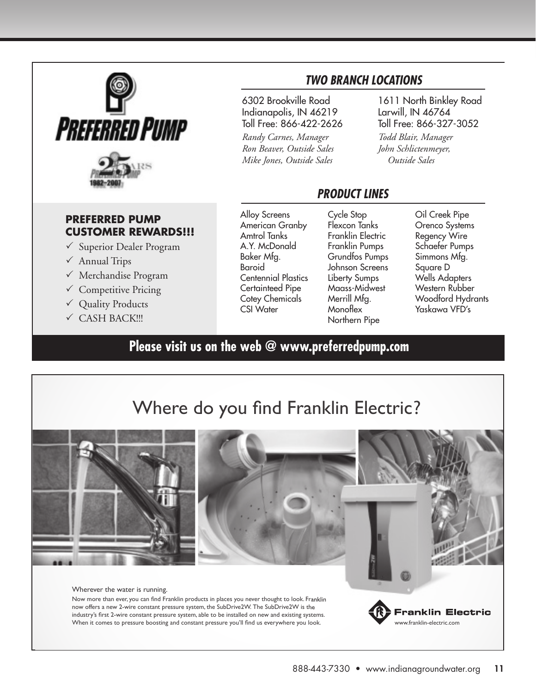

### **PREFERRED PUMP CUSTOMER REWARDS!!!**

- $\checkmark$  Superior Dealer Program
- $\checkmark$  Annual Trips
- $\checkmark$  Merchandise Program
- $\checkmark$  Competitive Pricing
- $\checkmark$  Quality Products
- $\checkmark$  CASH BACK!!!

6302 Brookville Road Indianapolis, IN 46219 Toll Free: 866-422-2626

*Randy Carnes, Manager Ron Beaver, Outside Sales Mike Jones, Outside Sales*

### *Two Branch LocaTions*

1611 North Binkley Road Larwill, IN 46764 Toll Free: 866-327-3052

*Todd Blair, Manager John Schlictenmeyer, Outside Sales*

### *ProDUcT LinEs*

Alloy Screens American Granby Amtrol Tanks A.Y. McDonald Baker Mfg. Baroid Centennial Plastics Certainteed Pipe Cotey Chemicals CSI Water

Cycle Stop Flexcon Tanks Franklin Electric Franklin Pumps Grundfos Pumps Johnson Screens Liberty Sumps Maass-Midwest Merrill Mfa. **Monoflex** Northern Pipe

Oil Creek Pipe Orenco Systems Regency Wire Schaefer Pumps Simmons Mfg. Square D Wells Adapters Western Rubber Woodford Hydrants Yaskawa VFD's

# **[Please visit us on the web @ www.preferredpump.com](http://www.preferredpump.com)**

# Where do you find Franklin Electric?